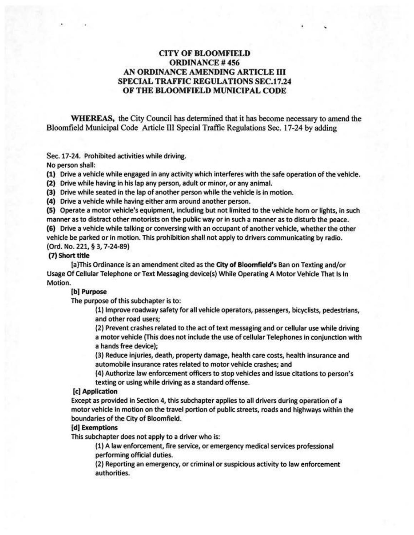# CITY OF BLOOMFIELD ORDINANCE# 456 AN ORDINANCE AMENDING ARTICLE ill SPECIAL TRAFFIC REGULATIONS SEC.17.24 OF THE BLOOMFIELD MUNICIPAL CODE

WHEREAS, the City Council has determined that it has become necessary to amend the Bloomfield Municipal Code Article Ill Special Traffic Regulations Sec. 17-24 by adding

Sec. 17-24. Prohibited activities while driving.

No person shall:

(1) Drive a vehicle while engaged in any activity which interferes with the safe operation of the vehicle.

(2) Drive while having in his lap any person, adult or minor, or any animal.

(3) Drive while seated in the lap of another person while the vehicle is in motion.

(4) Drive a vehicle while having either arm around another person.

(5) Operate a motor vehicle's equipment, including but not limited to the vehicle horn or lights, in such manner as to distract other motorists on the public way or in such a manner as to disturb the peace.

(6) Drive a vehicle while talking or conversing with an occupant of another vehicle, whether the other vehicle be parked or in motion. This prohibition shall not apply to drivers communicating by radio. (Ord. No. 221, § 3, 7-24-89)

#### (7) Short title

[a}This Ordinance is an amendment cited as the City of Bloomfield's Ban on Texting and/or Usage Of Cellular Telephone or Text Messaging device(s) While Operating A Motor Vehicle That Is In Motion.

## (b) Purpose

The purpose of this subchapter is to:

(1) Improve roadway safety for all vehicle operators, passengers, bicyclists, pedestrians, and other road users;

(2) Prevent crashes related to the act of text messaging and or cellular use while driving a motor vehicle (This does not include the use of cellular Telephones in conjunction with a hands free device);

(3) Reduce Injuries, death, property damage, health care costs, health insurance and automobile insurance rates related to motor vehicle crashes; and

(4) Authorize law enforcement officers to stop vehicles and issue citations to person's texting or using while driving as a standard offense.

### [c) Application

Except as provided in Section 4, this subchapter applies to all drivers during operation of a motor vehicle in motion on the travel portion of public streets, roads and highways within the boundaries of the City of Bloomfield.

## [d] Exemptions

This subchapter does not apply to a driver who is:

(1) A law enforcement, fire service, or emergency medical services professional performing official duties.

(2) Reporting an emergency, or criminal or suspicious activity to law enforcement authorities.